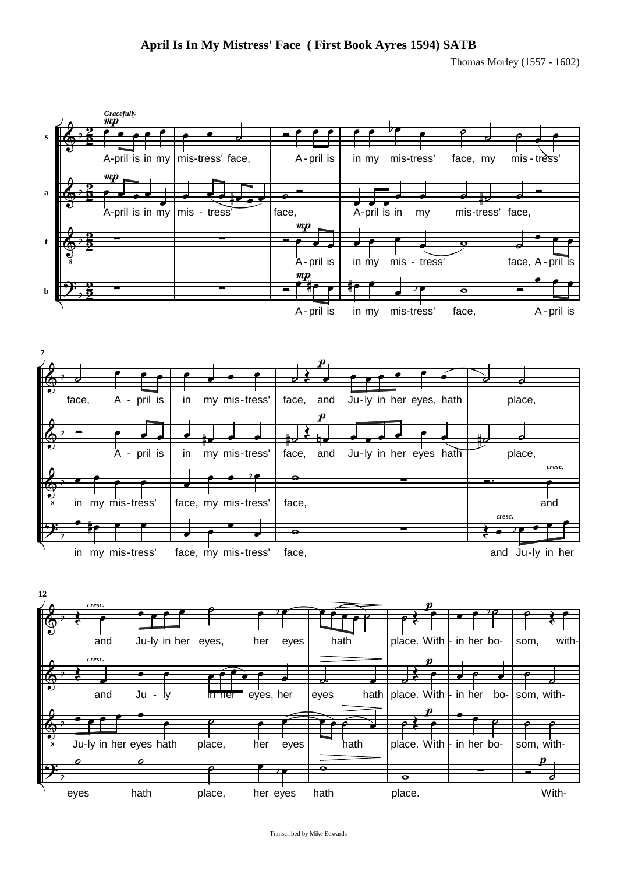Thomas Morley (1557 - 1602)